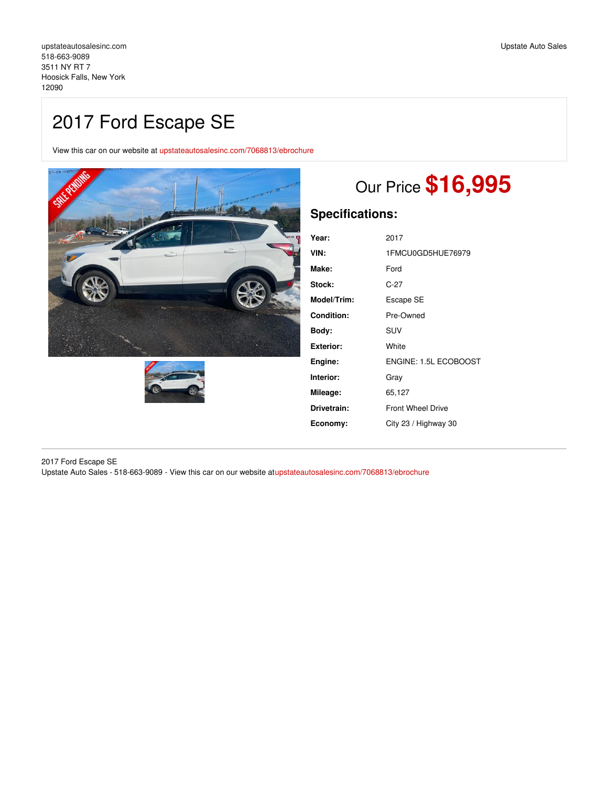# 2017 Ford Escape SE

View this car on our website at [upstateautosalesinc.com/7068813/ebrochure](https://upstateautosalesinc.com/vehicle/7068813/2017-ford-escape-se-hoosick-falls-new-york-12090/7068813/ebrochure)





# Our Price **\$16,995**

## **Specifications:**

| Year:       | 2017                     |
|-------------|--------------------------|
| VIN:        | 1FMCU0GD5HUE76979        |
| Make:       | Ford                     |
| Stock:      | C-27                     |
| Model/Trim: | Escape SE                |
| Condition:  | Pre-Owned                |
| Body:       | SUV                      |
| Exterior:   | White                    |
| Engine:     | ENGINE: 1.5L ECOBOOST    |
| Interior:   | Gray                     |
| Mileage:    | 65,127                   |
| Drivetrain: | <b>Front Wheel Drive</b> |
| Economy:    | City 23 / Highway 30     |
|             |                          |

2017 Ford Escape SE Upstate Auto Sales - 518-663-9089 - View this car on our website a[tupstateautosalesinc.com/7068813/ebrochure](https://upstateautosalesinc.com/vehicle/7068813/2017-ford-escape-se-hoosick-falls-new-york-12090/7068813/ebrochure)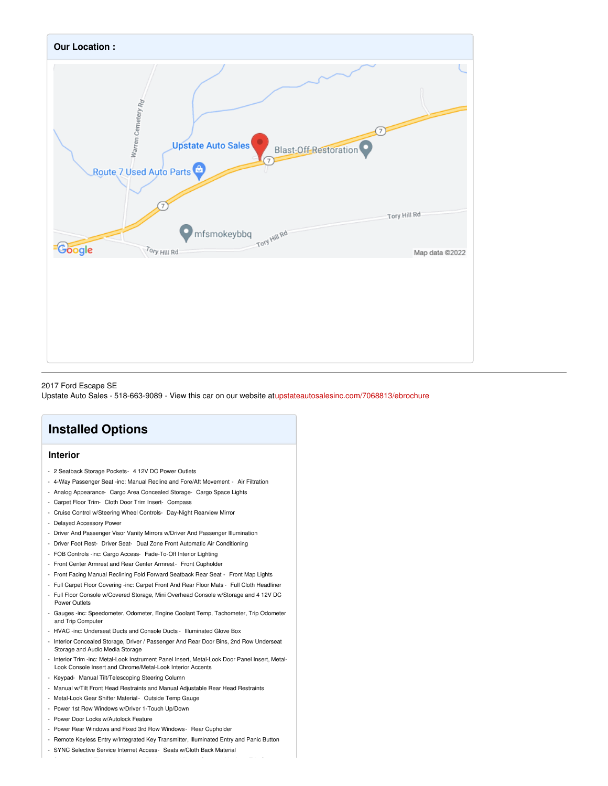

#### 2017 Ford Escape SE

Upstate Auto Sales - 518-663-9089 - View this car on our website a[tupstateautosalesinc.com/7068813/ebrochure](https://upstateautosalesinc.com/vehicle/7068813/2017-ford-escape-se-hoosick-falls-new-york-12090/7068813/ebrochure)

## **Installed Options**

#### **Interior**

- 2 Seatback Storage Pockets- 4 12V DC Power Outlets
- 4-Way Passenger Seat -inc: Manual Recline and Fore/Aft Movement Air Filtration
- Analog Appearance- Cargo Area Concealed Storage- Cargo Space Lights
- Carpet Floor Trim- Cloth Door Trim Insert- Compass
- Cruise Control w/Steering Wheel Controls- Day-Night Rearview Mirror
- Delayed Accessory Power
- Driver And Passenger Visor Vanity Mirrors w/Driver And Passenger Illumination
- Driver Foot Rest- Driver Seat- Dual Zone Front Automatic Air Conditioning
- FOB Controls -inc: Cargo Access- Fade-To-Off Interior Lighting
- Front Center Armrest and Rear Center Armrest- Front Cupholder
- Front Facing Manual Reclining Fold Forward Seatback Rear Seat Front Map Lights
- Full Carpet Floor Covering -inc: Carpet Front And Rear Floor Mats Full Cloth Headliner
- Full Floor Console w/Covered Storage, Mini Overhead Console w/Storage and 4 12V DC Power Outlets
- Gauges -inc: Speedometer, Odometer, Engine Coolant Temp, Tachometer, Trip Odometer and Trip Computer
- HVAC -inc: Underseat Ducts and Console Ducts Illuminated Glove Box
- Interior Concealed Storage, Driver / Passenger And Rear Door Bins, 2nd Row Underseat Storage and Audio Media Storage
- Interior Trim -inc: Metal-Look Instrument Panel Insert, Metal-Look Door Panel Insert, Metal-Look Console Insert and Chrome/Metal-Look Interior Accents
- Keypad- Manual Tilt/Telescoping Steering Column
- Manual w/Tilt Front Head Restraints and Manual Adjustable Rear Head Restraints
- Metal-Look Gear Shifter Material- Outside Temp Gauge
- Power 1st Row Windows w/Driver 1-Touch Up/Down
- Power Door Locks w/Autolock Feature
- Power Rear Windows and Fixed 3rd Row Windows- Rear Cupholder
- Remote Keyless Entry w/Integrated Key Transmitter, Illuminated Entry and Panic Button
- SYNC Selective Service Internet Access- Seats w/Cloth Back Material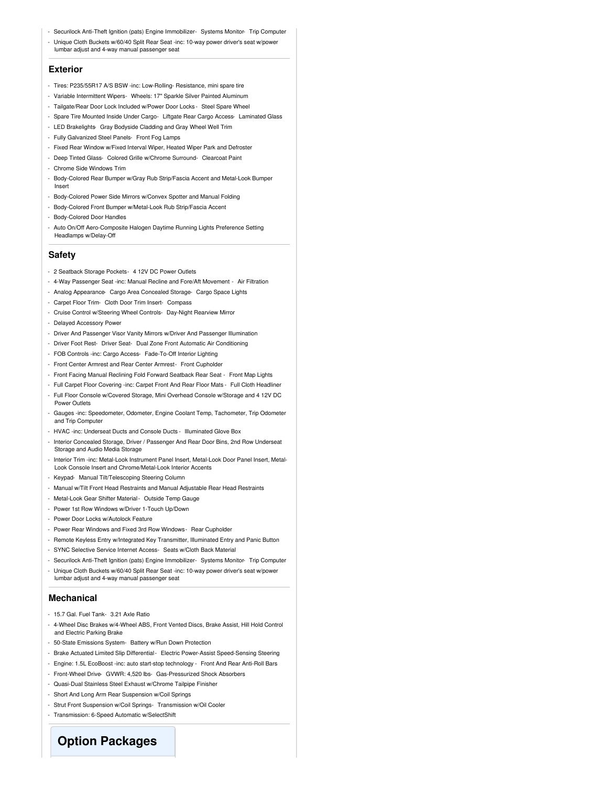- Securilock Anti-Theft Ignition (pats) Engine Immobilizer- Systems Monitor- Trip Computer
- Unique Cloth Buckets w/60/40 Split Rear Seat -inc: 10-way power driver's seat w/power lumbar adjust and 4-way manual passenger seat

#### **Exterior**

- Tires: P235/55R17 A/S BSW -inc: Low-Rolling- Resistance, mini spare tire
- Variable Intermittent Wipers- Wheels: 17" Sparkle Silver Painted Aluminum
- Tailgate/Rear Door Lock Included w/Power Door Locks Steel Spare Wheel
- Spare Tire Mounted Inside Under Cargo- Liftgate Rear Cargo Access- Laminated Glass
- LED Brakelights- Gray Bodyside Cladding and Gray Wheel Well Trim
- Fully Galvanized Steel Panels- Front Fog Lamps
- Fixed Rear Window w/Fixed Interval Wiper, Heated Wiper Park and Defroster
- Deep Tinted Glass- Colored Grille w/Chrome Surround- Clearcoat Paint
- Chrome Side Windows Trim
- Body-Colored Rear Bumper w/Gray Rub Strip/Fascia Accent and Metal-Look Bumper Insert
- Body-Colored Power Side Mirrors w/Convex Spotter and Manual Folding
- Body-Colored Front Bumper w/Metal-Look Rub Strip/Fascia Accent
- Body-Colored Door Handles
- Auto On/Off Aero-Composite Halogen Daytime Running Lights Preference Setting Headlamps w/Delay-Off

#### **Safety**

- 2 Seatback Storage Pockets- 4 12V DC Power Outlets
- 4-Way Passenger Seat -inc: Manual Recline and Fore/Aft Movement Air Filtration
- Analog Appearance- Cargo Area Concealed Storage- Cargo Space Lights
- Carpet Floor Trim- Cloth Door Trim Insert- Compass
- Cruise Control w/Steering Wheel Controls- Day-Night Rearview Mirror
- Delayed Accessory Power
- Driver And Passenger Visor Vanity Mirrors w/Driver And Passenger Illumination
- Driver Foot Rest- Driver Seat- Dual Zone Front Automatic Air Conditioning
- FOB Controls -inc: Cargo Access- Fade-To-Off Interior Lighting
- Front Center Armrest and Rear Center Armrest- Front Cupholder
- Front Facing Manual Reclining Fold Forward Seatback Rear Seat Front Map Lights
- Full Carpet Floor Covering -inc: Carpet Front And Rear Floor Mats Full Cloth Headliner
- Full Floor Console w/Covered Storage, Mini Overhead Console w/Storage and 4 12V DC Power Outlets
- Gauges -inc: Speedometer, Odometer, Engine Coolant Temp, Tachometer, Trip Odometer and Trip Computer
- HVAC -inc: Underseat Ducts and Console Ducts Illuminated Glove Box
- Interior Concealed Storage, Driver / Passenger And Rear Door Bins, 2nd Row Underseat Storage and Audio Media Storage
- Interior Trim -inc: Metal-Look Instrument Panel Insert, Metal-Look Door Panel Insert, Metal-Look Console Insert and Chrome/Metal-Look Interior Accents
- Keypad- Manual Tilt/Telescoping Steering Column
- Manual w/Tilt Front Head Restraints and Manual Adjustable Rear Head Restraints
- Metal-Look Gear Shifter Material- Outside Temp Gauge
- Power 1st Row Windows w/Driver 1-Touch Up/Down
- Power Door Locks w/Autolock Feature
- Power Rear Windows and Fixed 3rd Row Windows- Rear Cupholder
- Remote Keyless Entry w/Integrated Key Transmitter, Illuminated Entry and Panic Button
- SYNC Selective Service Internet Access- Seats w/Cloth Back Materia
- Securilock Anti-Theft Ignition (pats) Engine Immobilizer- Systems Monitor- Trip Computer
- Unique Cloth Buckets w/60/40 Split Rear Seat -inc: 10-way power driver's seat w/power lumbar adjust and 4-way manual passenger seat

#### **Mechanical**

- 15.7 Gal. Fuel Tank- 3.21 Axle Ratio
- 4-Wheel Disc Brakes w/4-Wheel ABS, Front Vented Discs, Brake Assist, Hill Hold Control and Electric Parking Brake
- 50-State Emissions System- Battery w/Run Down Protection
- Brake Actuated Limited Slip Differential- Electric Power-Assist Speed-Sensing Steering
- Engine: 1.5L EcoBoost -inc: auto start-stop technology Front And Rear Anti-Roll Bars
- Front-Wheel Drive- GVWR: 4,520 lbs- Gas-Pressurized Shock Absorbers
- Quasi-Dual Stainless Steel Exhaust w/Chrome Tailpipe Finisher
- Short And Long Arm Rear Suspension w/Coil Springs
- Strut Front Suspension w/Coil Springs- Transmission w/Oil Cooler
- Transmission: 6-Speed Automatic w/SelectShift

### **Option Packages**